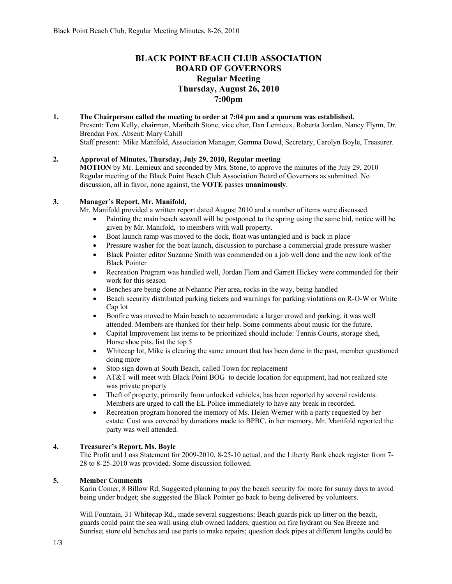# **BLACK POINT BEACH CLUB ASSOCIATION BOARD OF GOVERNORS Regular Meeting Thursday, August 26, 2010 7:00pm**

**1. The Chairperson called the meeting to order at 7:04 pm and a quorum was established.**  Present: Tom Kelly, chairman, Maribeth Stone, vice char, Dan Lemieux, Roberta Jordan, Nancy Flynn, Dr. Brendan Fox. Absent: Mary Cahill Staff present: Mike Manifold, Association Manager, Gemma Dowd, Secretary, Carolyn Boyle, Treasurer.

# **2. Approval of Minutes, Thursday, July 29, 2010, Regular meeting**

**MOTION** by Mr. Lemieux and seconded by Mrs. Stone, to approve the minutes of the July 29, 2010 Regular meeting of the Black Point Beach Club Association Board of Governors as submitted. No discussion, all in favor, none against, the **VOTE** passes **unanimously**.

## **3. Manager's Report, Mr. Manifold,**

Mr. Manifold provided a written report dated August 2010 and a number of items were discussed.

- Painting the main beach seawall will be postponed to the spring using the same bid, notice will be given by Mr. Manifold, to members with wall property.
- Boat launch ramp was moved to the dock, float was untangled and is back in place
- Pressure washer for the boat launch, discussion to purchase a commercial grade pressure washer
- Black Pointer editor Suzanne Smith was commended on a job well done and the new look of the Black Pointer
- Recreation Program was handled well, Jordan Flom and Garrett Hickey were commended for their work for this season
- Benches are being done at Nehantic Pier area, rocks in the way, being handled
- Beach security distributed parking tickets and warnings for parking violations on R-O-W or White Cap lot
- Bonfire was moved to Main beach to accommodate a larger crowd and parking, it was well attended. Members are thanked for their help. Some comments about music for the future.
- Capital Improvement list items to be prioritized should include: Tennis Courts, storage shed, Horse shoe pits, list the top 5
- Whitecap lot, Mike is clearing the same amount that has been done in the past, member questioned doing more
- Stop sign down at South Beach, called Town for replacement
- AT&T will meet with Black Point BOG to decide location for equipment, had not realized site was private property
- Theft of property, primarily from unlocked vehicles, has been reported by several residents. Members are urged to call the EL Police immediately to have any break in recorded.
- Recreation program honored the memory of Ms. Helen Werner with a party requested by her estate. Cost was covered by donations made to BPBC, in her memory. Mr. Manifold reported the party was well attended.

#### **4. Treasurer's Report, Ms. Boyle**

The Profit and Loss Statement for 2009-2010, 8-25-10 actual, and the Liberty Bank check register from 7- 28 to 8-25-2010 was provided. Some discussion followed.

#### **5. Member Comments**

Karin Comer, 8 Billow Rd, Suggested planning to pay the beach security for more for sunny days to avoid being under budget; she suggested the Black Pointer go back to being delivered by volunteers.

Will Fountain, 31 Whitecap Rd., made several suggestions: Beach guards pick up litter on the beach, guards could paint the sea wall using club owned ladders, question on fire hydrant on Sea Breeze and Sunrise; store old benches and use parts to make repairs; question dock pipes at different lengths could be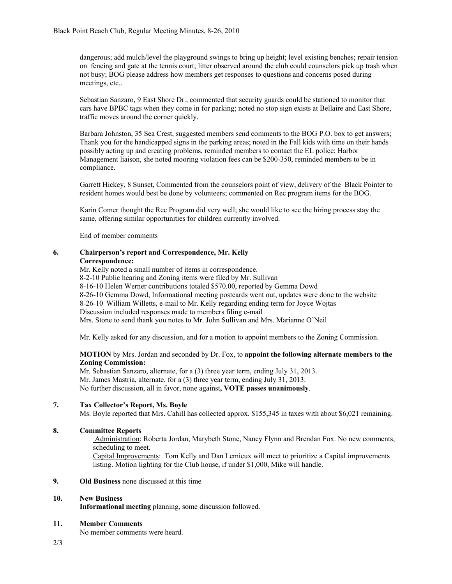dangerous; add mulch/level the playground swings to bring up height; level existing benches; repair tension on fencing and gate at the tennis court; litter observed around the club could counselors pick up trash when not busy; BOG please address how members get responses to questions and concerns posed during meetings, etc..

Sebastian Sanzaro, 9 East Shore Dr., commented that security guards could be stationed to monitor that cars have BPBC tags when they come in for parking; noted no stop sign exists at Bellaire and East Shore, traffic moves around the corner quickly.

Barbara Johnston, 35 Sea Crest, suggested members send comments to the BOG P.O. box to get answers; Thank you for the handicapped signs in the parking areas; noted in the Fall kids with time on their hands possibly acting up and creating problems, reminded members to contact the EL police; Harbor Management liaison, she noted mooring violation fees can be \$200-350, reminded members to be in compliance.

Garrett Hickey, 8 Sunset, Commented from the counselors point of view, delivery of the Black Pointer to resident homes would best be done by volunteers; commented on Rec program items for the BOG.

Karin Comer thought the Rec Program did very well; she would like to see the hiring process stay the same, offering similar opportunities for children currently involved.

End of member comments

## **6. Chairperson's report and Correspondence, Mr. Kelly Correspondence:**

Mr. Kelly noted a small number of items in correspondence. 8-2-10 Public hearing and Zoning items were filed by Mr. Sullivan 8-16-10 Helen Werner contributions totaled \$570.00, reported by Gemma Dowd 8-26-10 Gemma Dowd, Informational meeting postcards went out, updates were done to the website 8-26-10 William Willetts, e-mail to Mr. Kelly regarding ending term for Joyce Wojtas Discussion included responses made to members filing e-mail Mrs. Stone to send thank you notes to Mr. John Sullivan and Mrs. Marianne O'Neil

Mr. Kelly asked for any discussion, and for a motion to appoint members to the Zoning Commission.

#### **MOTION** by Mrs. Jordan and seconded by Dr. Fox, to **appoint the following alternate members to the Zoning Commission:**

Mr. Sebastian Sanzaro, alternate, for a (3) three year term, ending July 31, 2013. Mr. James Mastria, alternate, for a (3) three year term, ending July 31, 2013. No further discussion, all in favor, none against**, VOTE passes unanimously**.

#### **7. Tax Collector's Report, Ms. Boyle**

Ms. Boyle reported that Mrs. Cahill has collected approx. \$155,345 in taxes with about \$6,021 remaining.

#### **8. Committee Reports**

 Administration: Roberta Jordan, Marybeth Stone, Nancy Flynn and Brendan Fox. No new comments, scheduling to meet.

Capital Improvements: Tom Kelly and Dan Lemieux will meet to prioritize a Capital improvements listing. Motion lighting for the Club house, if under \$1,000, Mike will handle.

#### **9. Old Business** none discussed at this time

#### **10. New Business**

 **Informational meeting** planning, some discussion followed.

#### **11. Member Comments**

No member comments were heard.